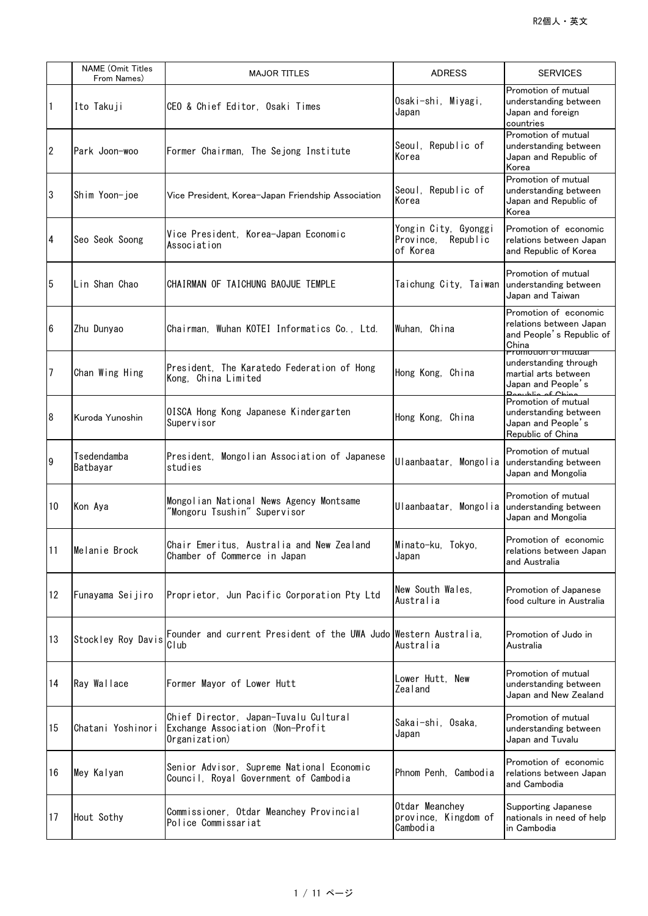|                  | <b>NAME</b> (Omit Titles<br>From Names) | <b>MAJOR TITLES</b>                                                                        | <b>ADRESS</b>                                             | <b>SERVICES</b>                                                                                   |
|------------------|-----------------------------------------|--------------------------------------------------------------------------------------------|-----------------------------------------------------------|---------------------------------------------------------------------------------------------------|
| 1                | Ito Takuji                              | CEO & Chief Editor, Osaki Times                                                            | Osaki-shi, Miyagi,<br>Japan                               | Promotion of mutual<br>understanding between<br>Japan and foreign<br>countries                    |
| $\overline{2}$   | Park Joon-woo                           | Former Chairman, The Sejong Institute                                                      | Seoul, Republic of<br>Korea                               | Promotion of mutual<br>understanding between<br>Japan and Republic of<br>Korea                    |
| $\boldsymbol{3}$ | Shim Yoon-joe                           | Vice President, Korea-Japan Friendship Association                                         | Seoul, Republic of<br>Korea                               | Promotion of mutual<br>understanding between<br>Japan and Republic of<br>Korea                    |
| 4                | Seo Seok Soong                          | Vice President, Korea-Japan Economic<br>Association                                        | Yongin City, Gyonggi<br>Province,<br>Republic<br>of Korea | Promotion of economic<br>relations between Japan<br>and Republic of Korea                         |
| 5                | Lin Shan Chao                           | CHAIRMAN OF TAICHUNG BAOJUE TEMPLE                                                         | Taichung City, Taiwan understanding between               | Promotion of mutual<br>Japan and Taiwan                                                           |
| $6\phantom{.}6$  | Zhu Dunyao                              | Chairman, Wuhan KOTEI Informatics Co., Ltd.                                                | Wuhan, China                                              | Promotion of economic<br>relations between Japan<br>and People's Republic of<br>China             |
| 7                | Chan Wing Hing                          | President. The Karatedo Federation of Hong<br>Kong, China Limited                          | Hong Kong, China                                          | <b>Promotion of mutual</b><br>understanding through<br>martial arts between<br>Japan and People's |
| $\boldsymbol{8}$ | Kuroda Yunoshin                         | OISCA Hong Kong Japanese Kindergarten<br>Supervisor                                        | Hong Kong, China                                          | Promotion of mutual<br>understanding between<br>Japan and People's<br>Republic of China           |
| 9                | Tsedendamba<br>Batbayar                 | President, Mongolian Association of Japanese<br>studies                                    | Ulaanbaatar, Mongolia                                     | Promotion of mutual<br>understanding between<br>Japan and Mongolia                                |
| 10               | Kon Aya                                 | Mongolian National News Agency Montsame<br>'Mongoru Tsushin" Supervisor                    | Ulaanbaatar, Mongolia                                     | Promotion of mutual<br>understanding between<br>Japan and Mongolia                                |
| 11               | Melanie Brock                           | Chair Emeritus, Australia and New Zealand<br>Chamber of Commerce in Japan                  | Minato-ku, Tokyo,<br>Japan                                | Promotion of economic<br>relations between Japan<br>and Australia                                 |
| 12               | Funayama Seijiro                        | Proprietor, Jun Pacific Corporation Pty Ltd                                                | New South Wales.<br>Australia                             | Promotion of Japanese<br>food culture in Australia                                                |
| 13               | Stockley Roy Davis                      | Founder and current President of the UWA Judo Western Australia,<br>Club                   | Australia                                                 | Promotion of Judo in<br>Australia                                                                 |
| 14               | Ray Wallace                             | Former Mayor of Lower Hutt                                                                 | Lower Hutt. New<br>Zealand                                | Promotion of mutual<br>understanding between<br>Japan and New Zealand                             |
| 15               | Chatani Yoshinori                       | Chief Director, Japan-Tuvalu Cultural<br>Exchange Association (Non-Profit<br>Organization) | Sakai-shi, Osaka,<br>Japan                                | Promotion of mutual<br>understanding between<br>Japan and Tuvalu                                  |
| 16               | Mey Kalyan                              | Senior Advisor, Supreme National Economic<br>Council, Royal Government of Cambodia         | Phnom Penh. Cambodia                                      | Promotion of economic<br>relations between Japan<br>and Cambodia                                  |
| 17               | Hout Sothy                              | Commissioner, Otdar Meanchey Provincial<br>Police Commissariat                             | Otdar Meanchey<br>province, Kingdom of<br>Cambodia        | Supporting Japanese<br>nationals in need of help<br>in Cambodia                                   |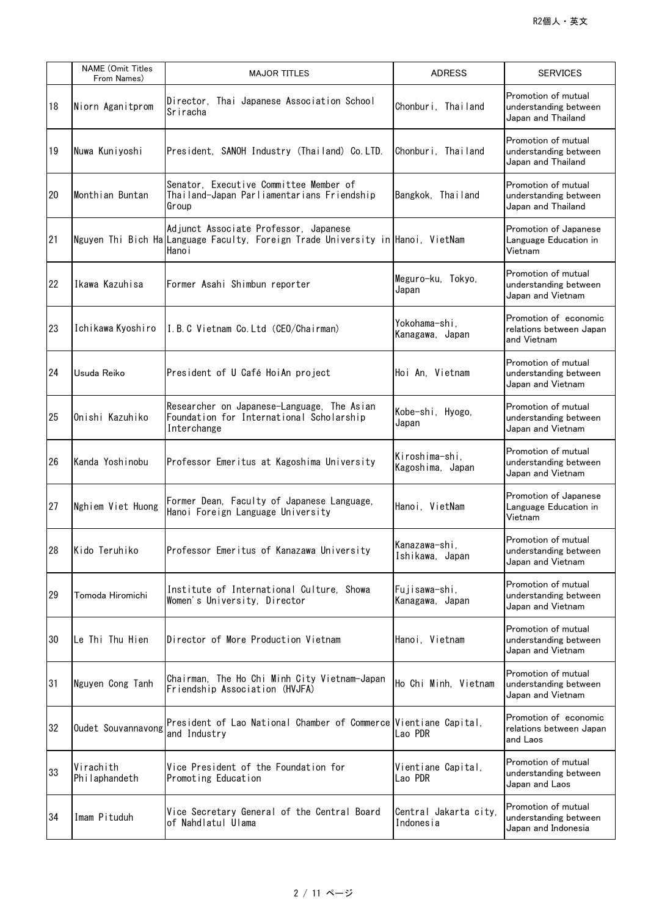|    | <b>NAME</b> (Omit Titles<br>From Names) | <b>MAJOR TITLES</b>                                                                                                                | <b>ADRESS</b>                      | <b>SERVICES</b>                                                     |
|----|-----------------------------------------|------------------------------------------------------------------------------------------------------------------------------------|------------------------------------|---------------------------------------------------------------------|
| 18 | Niorn Aganitprom                        | Director, Thai Japanese Association School<br>Sriracha                                                                             | Chonburi, Thailand                 | Promotion of mutual<br>understanding between<br>Japan and Thailand  |
| 19 | Nuwa Kuniyoshi                          | President, SANOH Industry (Thailand) Co.LTD.                                                                                       | Chonburi, Thailand                 | Promotion of mutual<br>understanding between<br>Japan and Thailand  |
| 20 | Monthian Buntan                         | Senator, Executive Committee Member of<br>Thailand-Japan Parliamentarians Friendship<br>Group                                      | Bangkok, Thailand                  | Promotion of mutual<br>understanding between<br>Japan and Thailand  |
| 21 |                                         | Adjunct Associate Professor, Japanese<br>Nguyen Thi Bich Ha Language Faculty, Foreign Trade University in Hanoi, VietNam<br>Hano i |                                    | Promotion of Japanese<br>Language Education in<br>Vietnam           |
| 22 | Ikawa Kazuhisa                          | Former Asahi Shimbun reporter                                                                                                      | Meguro-ku, Tokyo,<br>Japan         | Promotion of mutual<br>understanding between<br>Japan and Vietnam   |
| 23 | Ichikawa Kyoshiro                       | I.B.C Vietnam Co.Ltd (CEO/Chairman)                                                                                                | Yokohama-shi,<br>Kanagawa, Japan   | Promotion of economic<br>relations between Japan<br>and Vietnam     |
| 24 | Usuda Reiko                             | President of U Café HoiAn project                                                                                                  | Hoi An, Vietnam                    | Promotion of mutual<br>understanding between<br>Japan and Vietnam   |
| 25 | Onishi Kazuhiko                         | Researcher on Japanese-Language, The Asian<br>Foundation for International Scholarship<br>Interchange                              | Kobe-shi, Hyogo,<br>Japan          | Promotion of mutual<br>understanding between<br>Japan and Vietnam   |
| 26 | lKanda Yoshinobu                        | Professor Emeritus at Kagoshima University                                                                                         | Kiroshima-shi,<br>Kagoshima, Japan | Promotion of mutual<br>understanding between<br>Japan and Vietnam   |
| 27 | Nghiem Viet Huong                       | Former Dean, Faculty of Japanese Language,<br>Hanoi Foreign Language University                                                    | Hanoi, VietNam                     | Promotion of Japanese<br>Language Education in<br>Vietnam           |
| 28 | Kido Teruhiko                           | Professor Emeritus of Kanazawa University                                                                                          | Kanazawa-shi,<br>Ishikawa, Japan   | Promotion of mutual<br>understanding between<br>Japan and Vietnam   |
| 29 | Tomoda Hiromichi                        | Institute of International Culture, Showa<br>Women's University, Director                                                          | Fujisawa-shi,<br>Kanagawa, Japan   | Promotion of mutual<br>understanding between<br>Japan and Vietnam   |
| 30 | lLe Thi Thu Hien                        | Director of More Production Vietnam                                                                                                | Hanoi, Vietnam                     | Promotion of mutual<br>understanding between<br>Japan and Vietnam   |
| 31 | Nguyen Cong Tanh                        | Chairman, The Ho Chi Minh City Vietnam-Japan<br>Friendship Association (HVJFA)                                                     | Ho Chi Minh, Vietnam               | Promotion of mutual<br>understanding between<br>Japan and Vietnam   |
| 32 | Oudet Souvannavong                      | President of Lao National Chamber of Commerce Vientiane Capital,<br>and Industry                                                   | Lao PDR                            | Promotion of economic<br>relations between Japan<br>and Laos        |
| 33 | Virachith<br>Philaphandeth              | Vice President of the Foundation for<br>Promoting Education                                                                        | Vientiane Capital,<br>Lao PDR      | Promotion of mutual<br>understanding between<br>Japan and Laos      |
| 34 | Imam Pituduh                            | Vice Secretary General of the Central Board<br>of Nahdlatul Ulama                                                                  | Central Jakarta city,<br>Indonesia | Promotion of mutual<br>understanding between<br>Japan and Indonesia |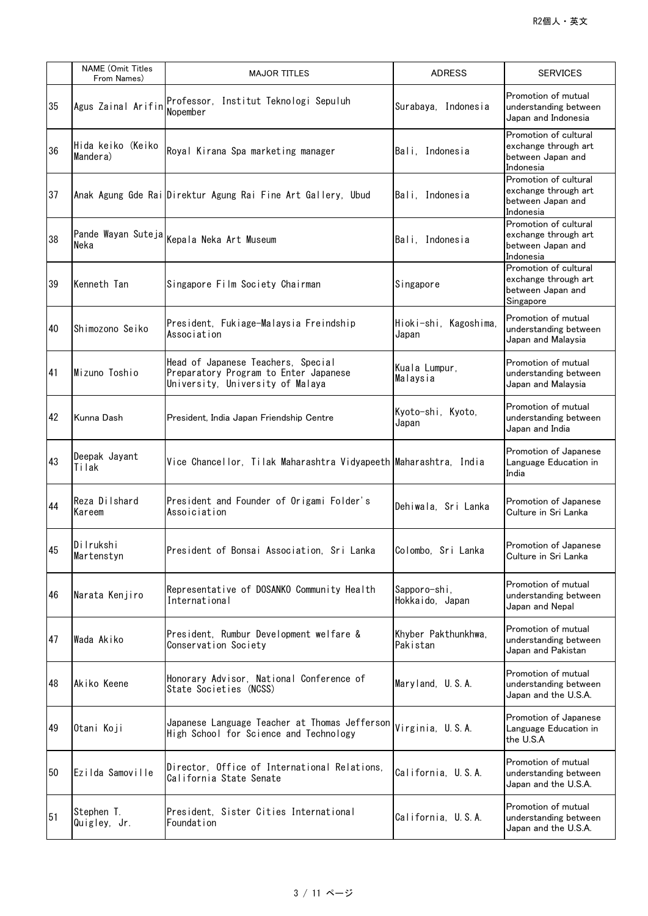|    | <b>NAME</b> (Omit Titles<br>From Names) | <b>MAJOR TITLES</b>                                                                                             | <b>ADRESS</b>                   | <b>SERVICES</b>                                                                 |
|----|-----------------------------------------|-----------------------------------------------------------------------------------------------------------------|---------------------------------|---------------------------------------------------------------------------------|
| 35 | Agus Zainal Arifin                      | Professor, Institut Teknologi Sepuluh<br>Nopember                                                               | Surabaya, Indonesia             | Promotion of mutual<br>understanding between<br>Japan and Indonesia             |
| 36 | Hida keiko (Keiko<br>Mandera)           | Royal Kirana Spa marketing manager                                                                              | Bali, Indonesia                 | Promotion of cultural<br>exchange through art<br>between Japan and<br>Indonesia |
| 37 |                                         | Anak Agung Gde Rai Direktur Agung Rai Fine Art Gallery, Ubud                                                    | Bali. Indonesia                 | Promotion of cultural<br>exchange through art<br>between Japan and<br>Indonesia |
| 38 | Neka                                    | Pande Wayan Suteja Kepala Neka Art Museum                                                                       | Bali, Indonesia                 | Promotion of cultural<br>exchange through art<br>between Japan and<br>Indonesia |
| 39 | Kenneth Tan                             | Singapore Film Society Chairman                                                                                 | Singapore                       | Promotion of cultural<br>exchange through art<br>between Japan and<br>Singapore |
| 40 | lShimozono Seiko                        | President, Fukiage-Malaysia Freindship<br>Association                                                           | Hioki-shi, Kagoshima,<br>Japan  | Promotion of mutual<br>understanding between<br>Japan and Malaysia              |
| 41 | Mizuno Toshio                           | Head of Japanese Teachers, Special<br>Preparatory Program to Enter Japanese<br>University, University of Malaya | Kuala Lumpur,<br>Malaysia       | Promotion of mutual<br>understanding between<br>Japan and Malaysia              |
| 42 | Kunna Dash                              | President, India Japan Friendship Centre                                                                        | Kyoto-shi, Kyoto,<br>Japan      | Promotion of mutual<br>understanding between<br>Japan and India                 |
| 43 | Deepak Jayant<br>Tilak                  | Vice Chancellor, Tilak Maharashtra Vidyapeeth Maharashtra, India                                                |                                 | Promotion of Japanese<br>Language Education in<br>India                         |
| 44 | Reza Dilshard<br>Kareem                 | President and Founder of Origami Folder's<br>Assoiciation                                                       | Dehiwala, Sri Lanka             | Promotion of Japanese<br>Culture in Sri Lanka                                   |
| 45 | Dilrukshi<br>Martenstyn                 | President of Bonsai Association, Sri Lanka                                                                      | Colombo, Sri Lanka              | Promotion of Japanese<br>Culture in Sri Lanka                                   |
| 46 | Narata Kenjiro                          | Representative of DOSANKO Community Health<br>International                                                     | Sapporo-shi,<br>Hokkaido, Japan | Promotion of mutual<br>understanding between<br>Japan and Nepal                 |
| 47 | Wada Akiko                              | President, Rumbur Development welfare &<br>Conservation Society                                                 | Khyber Pakthunkhwa.<br>Pakistan | Promotion of mutual<br>understanding between<br>Japan and Pakistan              |
| 48 | Akiko Keene                             | Honorary Advisor, National Conference of<br>State Societies (NCSS)                                              | Maryland, U.S.A.                | Promotion of mutual<br>understanding between<br>Japan and the U.S.A.            |
| 49 | Otani Koji                              | Japanese Language Teacher at Thomas Jefferson<br>High School for Science and Technology                         | Virginia, U.S.A.                | Promotion of Japanese<br>Language Education in<br>the U.S.A                     |
| 50 | Ezilda Samoville                        | Director, Office of International Relations,<br>California State Senate                                         | California, U.S.A.              | Promotion of mutual<br>understanding between<br>Japan and the U.S.A.            |
| 51 | Stephen T.<br>Quigley, Jr.              | President, Sister Cities International<br>Foundation                                                            | California, U.S.A.              | Promotion of mutual<br>understanding between<br>Japan and the U.S.A.            |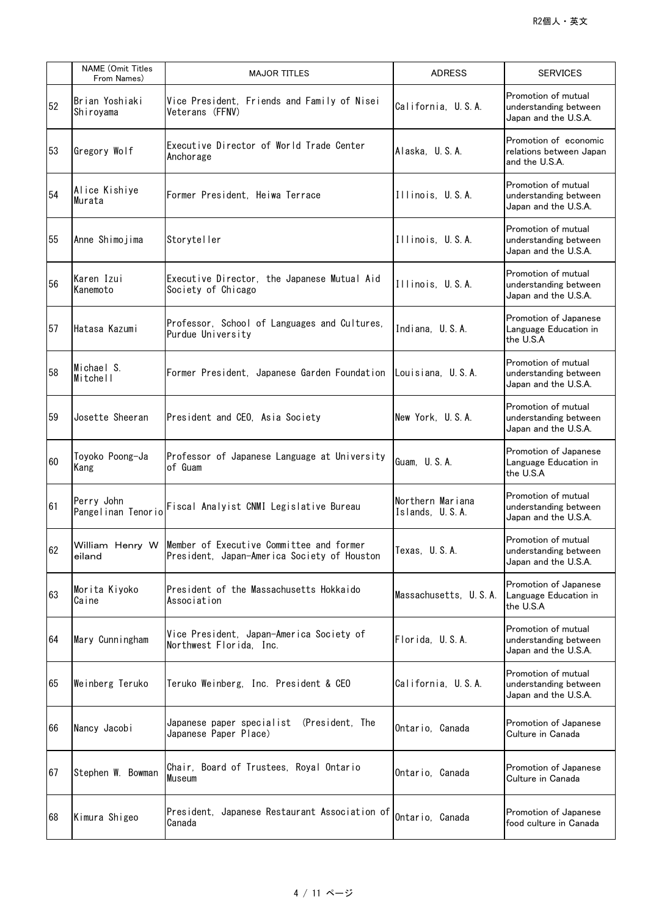|    | <b>NAME</b> (Omit Titles<br>From Names) | <b>MAJOR TITLES</b>                                                                                     | <b>ADRESS</b>                       | <b>SERVICES</b>                                                      |
|----|-----------------------------------------|---------------------------------------------------------------------------------------------------------|-------------------------------------|----------------------------------------------------------------------|
| 52 | Brian Yoshiaki<br>Shiroyama             | Vice President, Friends and Family of Nisei<br>Veterans (FFNV)                                          | California, U.S.A.                  | Promotion of mutual<br>understanding between<br>Japan and the U.S.A. |
| 53 | Gregory Wolf                            | Executive Director of World Trade Center<br>Anchorage                                                   | Alaska, U.S.A.                      | Promotion of economic<br>relations between Japan<br>and the U.S.A.   |
| 54 | Alice Kishiye<br>Murata                 | Former President, Heiwa Terrace                                                                         | Illinois, U.S.A.                    | Promotion of mutual<br>understanding between<br>Japan and the U.S.A. |
| 55 | Anne Shimojima                          | Storyteller                                                                                             | Illinois, U.S.A.                    | Promotion of mutual<br>understanding between<br>Japan and the U.S.A. |
| 56 | Karen Izui<br>Kanemoto                  | Executive Director, the Japanese Mutual Aid<br>Society of Chicago                                       | Illinois, U.S.A.                    | Promotion of mutual<br>understanding between<br>Japan and the U.S.A. |
| 57 | Hatasa Kazumi                           | Professor, School of Languages and Cultures,<br>Purdue University                                       | Indiana, U.S.A.                     | Promotion of Japanese<br>Language Education in<br>the U.S.A          |
| 58 | Michael S.<br>Mitchell                  | Former President, Japanese Garden Foundation   Louisiana, U.S.A.                                        |                                     | Promotion of mutual<br>understanding between<br>Japan and the U.S.A. |
| 59 | Josette Sheeran                         | President and CEO, Asia Society                                                                         | New York, U.S.A.                    | Promotion of mutual<br>understanding between<br>Japan and the U.S.A. |
| 60 | Toyoko Poong-Ja<br>Kang                 | Professor of Japanese Language at University<br>of Guam                                                 | Guam, U.S.A.                        | Promotion of Japanese<br>Language Education in<br>the U.S.A          |
| 61 | Perry John                              | Pangelinan Tenorio Fiscal Analyist CNMI Legislative Bureau                                              | Northern Mariana<br>Islands, U.S.A. | Promotion of mutual<br>understanding between<br>Japan and the U.S.A. |
| 62 | eiland                                  | William Henry W Member of Executive Committee and former<br>President, Japan-America Society of Houston | Texas, U.S.A.                       | Promotion of mutual<br>understanding between<br>Japan and the U.S.A. |
| 63 | Morita Kiyoko<br>Caine                  | President of the Massachusetts Hokkaido<br>Association                                                  | Massachusetts, U.S.A.               | Promotion of Japanese<br>Language Education in<br>the U.S.A          |
| 64 | Mary Cunningham                         | Vice President, Japan-America Society of<br>Northwest Florida, Inc.                                     | Florida, U.S.A.                     | Promotion of mutual<br>understanding between<br>Japan and the U.S.A. |
| 65 | Weinberg Teruko                         | Teruko Weinberg, Inc. President & CEO                                                                   | California, U.S.A.                  | Promotion of mutual<br>understanding between<br>Japan and the U.S.A. |
| 66 | Nancy Jacobi                            | Japanese paper specialist<br>(President, The<br>Japanese Paper Place)                                   | Ontario, Canada                     | Promotion of Japanese<br>Culture in Canada                           |
| 67 | Stephen W. Bowman                       | Chair, Board of Trustees, Royal Ontario<br>Museum                                                       | Ontario, Canada                     | Promotion of Japanese<br>Culture in Canada                           |
| 68 | Kimura Shigeo                           | President, Japanese Restaurant Association of<br>Canada                                                 | Ontario, Canada                     | Promotion of Japanese<br>food culture in Canada                      |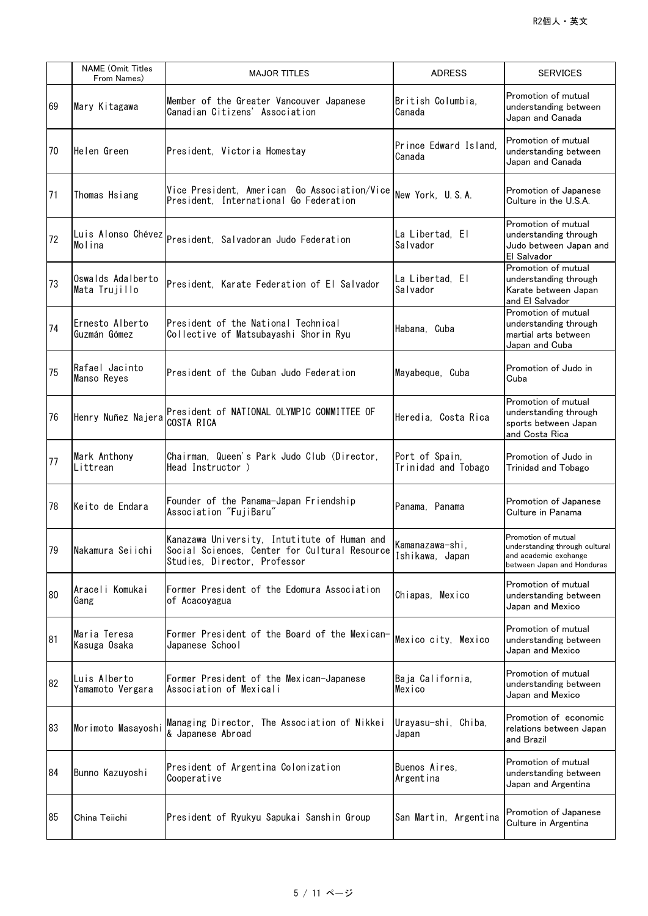|    | <b>NAME</b> (Omit Titles<br>From Names) | <b>MAJOR TITLES</b>                                                                                                           | <b>ADRESS</b>                         | <b>SERVICES</b>                                                                                              |
|----|-----------------------------------------|-------------------------------------------------------------------------------------------------------------------------------|---------------------------------------|--------------------------------------------------------------------------------------------------------------|
| 69 | Mary Kitagawa                           | Member of the Greater Vancouver Japanese<br>Canadian Citizens' Association                                                    | British Columbia,<br>Canada           | Promotion of mutual<br>understanding between<br>Japan and Canada                                             |
| 70 | Helen Green                             | President, Victoria Homestay                                                                                                  | Prince Edward Island.<br>Canada       | Promotion of mutual<br>understanding between<br>Japan and Canada                                             |
| 71 | Thomas Hsiang                           | Vice President, American Go Association/Vice<br>President, International Go Federation                                        | New York, U.S.A.                      | Promotion of Japanese<br>Culture in the U.S.A.                                                               |
| 72 |                                         | Luis Alonso Chévez p <sub>resident,</sub> Salvadoran Judo Federation                                                          | La Libertad, El<br>Salvador           | Promotion of mutual<br>understanding through<br>Judo between Japan and<br>El Salvador                        |
| 73 | Oswalds Adalberto<br>Mata Trujillo      | President, Karate Federation of El Salvador                                                                                   | La Libertad. El<br>Salvador           | Promotion of mutual<br>understanding through<br>Karate between Japan<br>and El Salvador                      |
| 74 | Ernesto Alberto<br>Guzmán Gómez         | President of the National Technical<br>Collective of Matsubayashi Shorin Ryu                                                  | Habana, Cuba                          | Promotion of mutual<br>understanding through<br>martial arts between<br>Japan and Cuba                       |
| 75 | Rafae  Jacinto<br>Manso Reyes           | President of the Cuban Judo Federation                                                                                        | Mayabeque, Cuba                       | Promotion of Judo in<br>Cuba                                                                                 |
| 76 | Henry Nuñez Najera                      | President of NATIONAL OLYMPIC COMMITTEE OF<br>COSTA RICA                                                                      | Heredia, Costa Rica                   | Promotion of mutual<br>understanding through<br>sports between Japan<br>and Costa Rica                       |
| 77 | Mark Anthony<br>Littrean                | Chairman, Queen's Park Judo Club (Director,<br>Head Instructor)                                                               | Port of Spain,<br>Trinidad and Tobago | Promotion of Judo in<br><b>Trinidad and Tobago</b>                                                           |
| 78 | Keito de Endara                         | Founder of the Panama-Japan Friendship<br>Association "FujiBaru"                                                              | Panama, Panama                        | Promotion of Japanese<br>Culture in Panama                                                                   |
| 79 | Nakamura Seiichi                        | Kanazawa University, Intutitute of Human and<br>Social Sciences, Center for Cultural Resource<br>Studies, Director, Professor | Kamanazawa-shi,<br>Ishikawa, Japan    | Promotion of mutual<br>understanding through cultural<br>and academic exchange<br>between Japan and Honduras |
| 80 | Araceli Komukai<br>Gang                 | Former President of the Edomura Association<br>of Acacoyagua                                                                  | Chiapas, Mexico                       | Promotion of mutual<br>understanding between<br>Japan and Mexico                                             |
| 81 | Maria Teresa<br> Kasuga Osaka           | Former President of the Board of the Mexican-<br>Japanese School                                                              | Mexico city, Mexico                   | Promotion of mutual<br>understanding between<br>Japan and Mexico                                             |
| 82 | Luis Alberto<br>Yamamoto Vergara        | Former President of the Mexican-Japanese<br>Association of Mexicali                                                           | Baja California,<br>Mexico            | Promotion of mutual<br>understanding between<br>Japan and Mexico                                             |
| 83 | Morimoto Masayoshi                      | Managing Director, The Association of Nikkei<br>& Japanese Abroad                                                             | Urayasu-shi, Chiba,<br>Japan          | Promotion of economic<br>relations between Japan<br>and Brazil                                               |
| 84 | Bunno Kazuyoshi                         | President of Argentina Colonization<br>Cooperative                                                                            | Buenos Aires.<br>Argentina            | Promotion of mutual<br>understanding between<br>Japan and Argentina                                          |
| 85 | China Teiichi                           | President of Ryukyu Sapukai Sanshin Group                                                                                     | San Martin, Argentina                 | Promotion of Japanese<br>Culture in Argentina                                                                |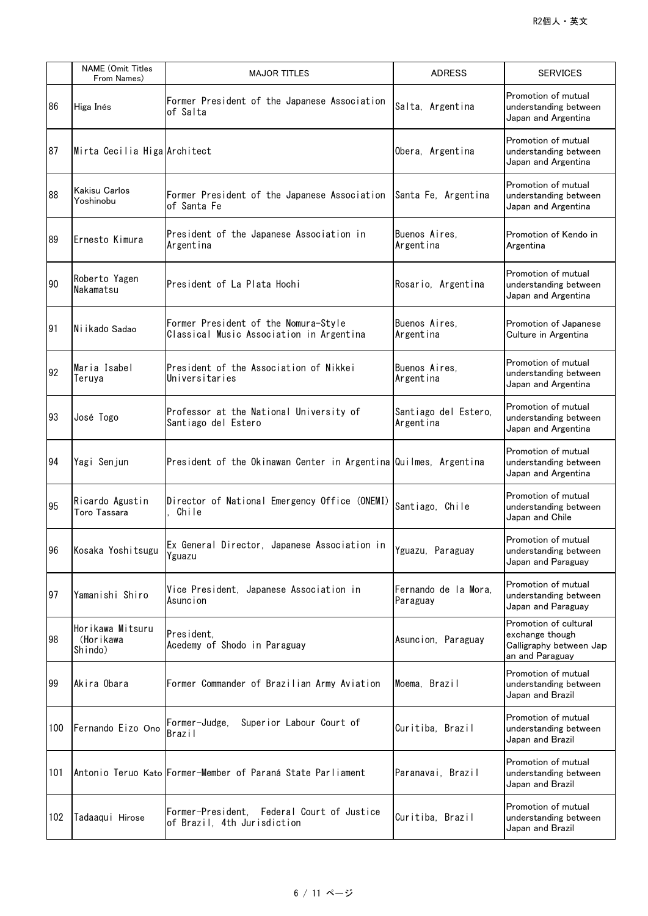|     | <b>NAME</b> (Omit Titles<br>From Names)  | <b>MAJOR TITLES</b>                                                                                                                                                           | <b>ADRESS</b>                     | <b>SERVICES</b>                                                                        |
|-----|------------------------------------------|-------------------------------------------------------------------------------------------------------------------------------------------------------------------------------|-----------------------------------|----------------------------------------------------------------------------------------|
| 86  | Higa Inés                                | Former President of the Japanese Association<br>of Salta                                                                                                                      | Salta, Argentina                  | Promotion of mutual<br>understanding between<br>Japan and Argentina                    |
| 87  | Mirta Cecilia Higa Architect             |                                                                                                                                                                               | Obera, Argentina                  | Promotion of mutual<br>understanding between<br>Japan and Argentina                    |
| 88  | Kakisu Carlos<br>Yoshinobu               | Former President of the Japanese Association<br>of Santa Fe                                                                                                                   | Santa Fe, Argentina               | Promotion of mutual<br>understanding between<br>Japan and Argentina                    |
| 89  | Ernesto Kimura                           | President of the Japanese Association in<br>Argentina                                                                                                                         | Buenos Aires.<br>Argentina        | Promotion of Kendo in<br>Argentina                                                     |
| 90  | Roberto Yagen<br>Nakamatsu               | President of La Plata Hochi                                                                                                                                                   | Rosario, Argentina                | Promotion of mutual<br>understanding between<br>Japan and Argentina                    |
| 91  | Ni ikado Sadao                           | Former President of the Nomura-Style<br>Classical Music Association in Argentina                                                                                              | Buenos Aires,<br>Argentina        | Promotion of Japanese<br>Culture in Argentina                                          |
| 92  | Maria Isabel<br>Teruya                   | President of the Association of Nikkei<br>Universitaries                                                                                                                      | Buenos Aires,<br>Argentina        | Promotion of mutual<br>understanding between<br>Japan and Argentina                    |
| 93  | José Togo                                | Professor at the National University of<br>Santiago del Estero                                                                                                                | Santiago del Estero,<br>Argentina | Promotion of mutual<br>understanding between<br>Japan and Argentina                    |
| 94  | Yagi Senjun                              | President of the Okinawan Center in Argentina Quilmes, Argentina                                                                                                              |                                   | Promotion of mutual<br>understanding between<br>Japan and Argentina                    |
| 95  | Ricardo Agustin<br><b>Toro Tassara</b>   | Director of National Emergency Office (ONEMI)<br>Chile                                                                                                                        | Santiago, Chile                   | Promotion of mutual<br>understanding between<br>Japan and Chile                        |
|     | 96 Kosaka Yoshitsugu                     | $\left  \begin{matrix} \mathsf{Ex} \end{matrix} \right $ General Director, Japanese Association in $\left  \begin{matrix} \mathsf{Y} \end{matrix} \right $ Paraguay<br>Yguazu |                                   | Promotion of mutual<br>understanding between<br>Japan and Paraguay                     |
| 97  | Yamanishi Shiro                          | Vice President, Japanese Association in<br>Asuncion                                                                                                                           | Fernando de la Mora,<br>Paraguay  | Promotion of mutual<br>understanding between<br>Japan and Paraguay                     |
| 98  | Horikawa Mitsuru<br>(Horikawa<br>Shindo) | President,<br>Acedemy of Shodo in Paraguay                                                                                                                                    | Asuncion, Paraguay                | Promotion of cultural<br>exchange though<br>Calligraphy between Jap<br>an and Paraguay |
| 99  | Akira Obara                              | Former Commander of Brazilian Army Aviation                                                                                                                                   | Moema, Brazil                     | Promotion of mutual<br>understanding between<br>Japan and Brazil                       |
| 100 | Fernando Eizo Ono                        | Superior Labour Court of<br>Former-Judge,<br>Brazil                                                                                                                           | Curitiba, Brazil                  | Promotion of mutual<br>understanding between<br>Japan and Brazil                       |
| 101 |                                          | Antonio Teruo Kato Former-Member of Paraná State Parliament                                                                                                                   | Paranavai, Brazil                 | Promotion of mutual<br>understanding between<br>Japan and Brazil                       |
| 102 | Tadaaqui Hirose                          | Former-President, Federal Court of Justice<br>of Brazil, 4th Jurisdiction                                                                                                     | Curitiba, Brazil                  | Promotion of mutual<br>understanding between<br>Japan and Brazil                       |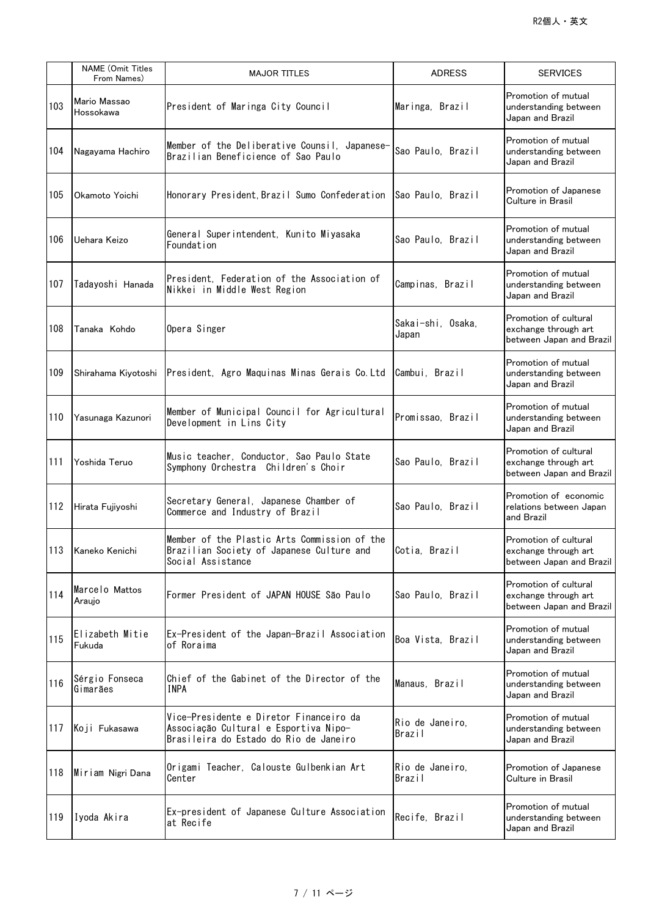|     | <b>NAME</b> (Omit Titles<br>From Names) | <b>MAJOR TITLES</b>                                                                                                        | <b>ADRESS</b>                    | <b>SERVICES</b>                                                           |
|-----|-----------------------------------------|----------------------------------------------------------------------------------------------------------------------------|----------------------------------|---------------------------------------------------------------------------|
| 103 | Mario Massao<br>Hossokawa               | President of Maringa City Council                                                                                          | Maringa, Brazil                  | Promotion of mutual<br>understanding between<br>Japan and Brazil          |
| 104 | Nagayama Hachiro                        | Member of the Deliberative Counsil, Japanese-<br>Brazilian Beneficience of Sao Paulo                                       | Sao Paulo, Brazil                | Promotion of mutual<br>understanding between<br>Japan and Brazil          |
| 105 | Okamoto Yoichi                          | Honorary President, Brazil Sumo Confederation                                                                              | <b>Sao Paulo. Brazil</b>         | Promotion of Japanese<br>Culture in Brasil                                |
| 106 | Uehara Keizo                            | General Superintendent, Kunito Miyasaka<br>Foundation                                                                      | Sao Paulo, Brazil                | Promotion of mutual<br>understanding between<br>Japan and Brazil          |
| 107 | Tadayoshi Hanada                        | President, Federation of the Association of<br>Nikkei in Middle West Region                                                | Campinas, Brazil                 | Promotion of mutual<br>understanding between<br>Japan and Brazil          |
| 108 | Tanaka Kohdo                            | Opera Singer                                                                                                               | Sakai-shi, Osaka,<br>Japan       | Promotion of cultural<br>exchange through art<br>between Japan and Brazil |
| 109 | Shirahama Kiyotoshi                     | President, Agro Maquinas Minas Gerais Co. Ltd                                                                              | Cambui, Brazil                   | Promotion of mutual<br>understanding between<br>Japan and Brazil          |
| 110 | Yasunaga Kazunori                       | Member of Municipal Council for Agricultural<br>Development in Lins City                                                   | Promissao, Brazil                | Promotion of mutual<br>understanding between<br>Japan and Brazil          |
| 111 | Yoshida Teruo                           | Music teacher, Conductor, Sao Paulo State<br>Symphony Orchestra Children's Choir                                           | Sao Paulo, Brazil                | Promotion of cultural<br>exchange through art<br>between Japan and Brazil |
| 112 | Hirata Fujiyoshi                        | Secretary General, Japanese Chamber of<br>Commerce and Industry of Brazil                                                  | Sao Paulo, Brazil                | Promotion of economic<br>relations between Japan<br>and Brazil            |
| 113 | Kaneko Kenichi                          | Member of the Plastic Arts Commission of the<br>Brazilian Society of Japanese Culture and<br>Social Assistance             | Cotia, Brazil                    | Promotion of cultural<br>exchange through art<br>between Japan and Brazil |
| 114 | Marcelo Mattos<br>Araujo                | Former President of JAPAN HOUSE São Paulo                                                                                  | Sao Paulo, Brazil                | Promotion of cultural<br>exchange through art<br>between Japan and Brazil |
| 115 | Elizabeth Mitie<br>Fukuda               | Ex-President of the Japan-Brazil Association<br>of Roraima                                                                 | Boa Vista, Brazil                | Promotion of mutual<br>understanding between<br>Japan and Brazil          |
| 116 | Sérgio Fonseca<br>Gimarães              | Chief of the Gabinet of the Director of the<br>INPA                                                                        | Manaus, Brazil                   | Promotion of mutual<br>understanding between<br>Japan and Brazil          |
| 117 | Koji Fukasawa                           | Vice-Presidente e Diretor Financeiro da<br>Associação Cultural e Esportiva Nipo-<br>Brasileira do Estado do Rio de Janeiro | Rio de Janeiro,<br>Brazil        | Promotion of mutual<br>understanding between<br>Japan and Brazil          |
| 118 | Miriam Nigri Dana                       | Origami Teacher, Calouste Gulbenkian Art<br>Center                                                                         | Rio de Janeiro,<br><b>Brazil</b> | Promotion of Japanese<br>Culture in Brasil                                |
| 119 | Iyoda Akira                             | Ex-president of Japanese Culture Association<br>at Recife                                                                  | Recife, Brazil                   | Promotion of mutual<br>understanding between<br>Japan and Brazil          |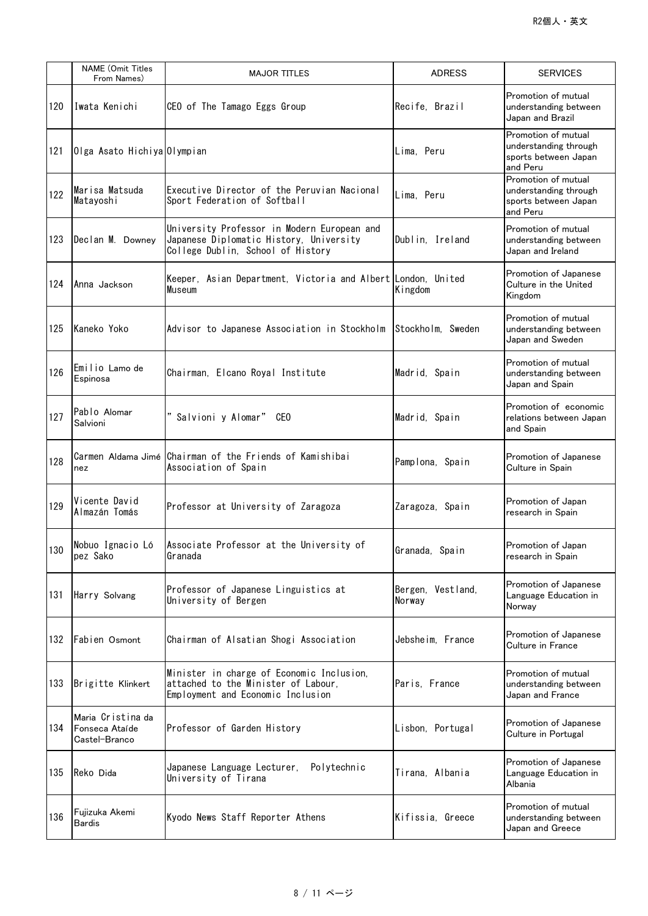|     | <b>NAME</b> (Omit Titles<br>From Names)              | <b>MAJOR TITLES</b>                                                                                                         | <b>ADRESS</b>               | <b>SERVICES</b>                                                                  |
|-----|------------------------------------------------------|-----------------------------------------------------------------------------------------------------------------------------|-----------------------------|----------------------------------------------------------------------------------|
| 120 | Iwata Kenichi                                        | CEO of The Tamago Eggs Group                                                                                                | Recife, Brazil              | Promotion of mutual<br>understanding between<br>Japan and Brazil                 |
| 121 | Olga Asato Hichiya Olympian                          |                                                                                                                             | Lima, Peru                  | Promotion of mutual<br>understanding through<br>sports between Japan<br>and Peru |
| 122 | Marisa Matsuda<br>Matayoshi                          | Executive Director of the Peruvian Nacional<br>Sport Federation of Softball                                                 | Lima, Peru                  | Promotion of mutual<br>understanding through<br>sports between Japan<br>and Peru |
| 123 | Declan M. Downey                                     | University Professor in Modern European and<br>Japanese Diplomatic History, University<br>College Dublin, School of History | Dublin, Ireland             | Promotion of mutual<br>understanding between<br>Japan and Ireland                |
| 124 | Anna Jackson                                         | Keeper, Asian Department, Victoria and Albert London, United<br>Museum                                                      | Kingdom                     | Promotion of Japanese<br>Culture in the United<br>Kingdom                        |
| 125 | Kaneko Yoko                                          | Advisor to Japanese Association in Stockholm                                                                                | Stockholm, Sweden           | Promotion of mutual<br>understanding between<br>Japan and Sweden                 |
| 126 | Emilio Lamo de<br>Espinosa                           | Chairman, Elcano Royal Institute                                                                                            | Madrid, Spain               | Promotion of mutual<br>understanding between<br>Japan and Spain                  |
| 127 | Pablo Alomar<br>Salvioni                             | Salvioni y Alomar" CEO                                                                                                      | Madrid, Spain               | Promotion of economic<br>relations between Japan<br>and Spain                    |
| 128 | nez                                                  | Carmen Aldama Jimé Chairman of the Friends of Kamishibai<br>Association of Spain                                            | Pamplona, Spain             | Promotion of Japanese<br>Culture in Spain                                        |
| 129 | Vicente David<br>Almazán Tomás                       | Professor at University of Zaragoza                                                                                         | Zaragoza, Spain             | Promotion of Japan<br>research in Spain                                          |
| 130 | Nobuo Ignacio Ló<br>pez Sako                         | Associate Professor at the University of<br>Granada                                                                         | Granada, Spain              | Promotion of Japan<br>research in Spain                                          |
| 131 | Harry Solvang                                        | Professor of Japanese Linguistics at<br>University of Bergen                                                                | Bergen, Vestland,<br>Norway | Promotion of Japanese<br>Language Education in<br>Norway                         |
| 132 | Fabien Osmont                                        | Chairman of Alsatian Shogi Association                                                                                      | Jebsheim, France            | Promotion of Japanese<br>Culture in France                                       |
| 133 | Brigitte Klinkert                                    | Minister in charge of Economic Inclusion,<br>attached to the Minister of Labour,<br>Employment and Economic Inclusion       | Paris, France               | Promotion of mutual<br>understanding between<br>Japan and France                 |
| 134 | Maria Cristina da<br>Fonseca Ataíde<br>Castel-Branco | Professor of Garden History                                                                                                 | Lisbon, Portugal            | Promotion of Japanese<br>Culture in Portugal                                     |
| 135 | Reko Dida                                            | Japanese Language Lecturer,<br>Polytechnic<br>University of Tirana                                                          | Tirana, Albania             | Promotion of Japanese<br>Language Education in<br>Albania                        |
| 136 | Fujizuka Akemi<br><b>Bardis</b>                      | Kyodo News Staff Reporter Athens                                                                                            | Kifissia, Greece            | Promotion of mutual<br>understanding between<br>Japan and Greece                 |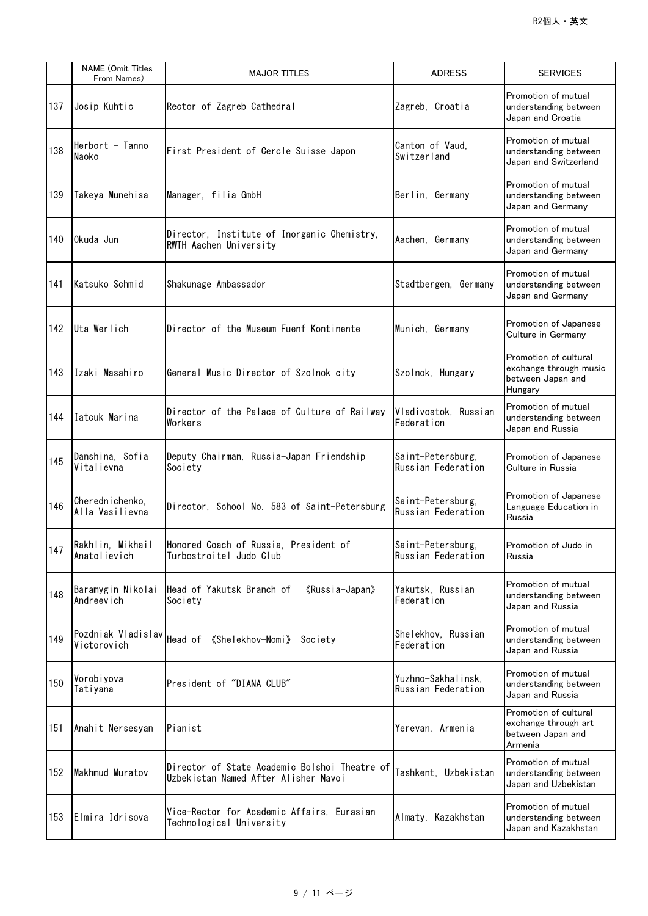|     | <b>NAME</b> (Omit Titles<br>From Names) | <b>MAJOR TITLES</b>                                                                   | <b>ADRESS</b>                            | <b>SERVICES</b>                                                                 |
|-----|-----------------------------------------|---------------------------------------------------------------------------------------|------------------------------------------|---------------------------------------------------------------------------------|
| 137 | Josip Kuhtic                            | Rector of Zagreb Cathedral                                                            | Zagreb, Croatia                          | Promotion of mutual<br>understanding between<br>Japan and Croatia               |
| 138 | Herbort - Tanno<br>Naoko                | First President of Cercle Suisse Japon                                                | Canton of Vaud.<br>Switzerland           | Promotion of mutual<br>understanding between<br>Japan and Switzerland           |
| 139 | Takeya Munehisa                         | Manager, filia GmbH                                                                   | Berlin, Germany                          | Promotion of mutual<br>understanding between<br>Japan and Germany               |
| 140 | Okuda Jun                               | Director, Institute of Inorganic Chemistry,<br>RWTH Aachen University                 | Aachen, Germany                          | Promotion of mutual<br>understanding between<br>Japan and Germany               |
| 141 | Katsuko Schmid                          | Shakunage Ambassador                                                                  | Stadtbergen, Germany                     | Promotion of mutual<br>understanding between<br>Japan and Germany               |
| 142 | Uta Werlich                             | Director of the Museum Fuenf Kontinente                                               | Munich, Germany                          | Promotion of Japanese<br>Culture in Germany                                     |
| 143 | Izaki Masahiro                          | General Music Director of Szolnok city                                                | Szolnok, Hungary                         | Promotion of cultural<br>exchange through music<br>between Japan and<br>Hungary |
| 144 | Iatcuk Marina                           | Director of the Palace of Culture of Railway<br>Workers                               | Vladivostok, Russian<br>Federation       | Promotion of mutual<br>understanding between<br>Japan and Russia                |
| 145 | Danshina, Sofia<br>Vitalievna           | Deputy Chairman, Russia-Japan Friendship<br>Society                                   | Saint-Petersburg,<br>Russian Federation  | Promotion of Japanese<br>Culture in Russia                                      |
| 146 | Cherednichenko,<br>Alla Vasilievna      | Director. School No. 583 of Saint-Petersburg                                          | Saint-Petersburg,<br>Russian Federation  | Promotion of Japanese<br>Language Education in<br>Russia                        |
| 147 | Rakhlin, Mikhail<br>Anatolievich        | Honored Coach of Russia, President of<br>Turbostroitel Judo Club                      | Saint-Petersburg,<br>Russian Federation  | Promotion of Judo in<br>Russia                                                  |
| 148 | Baramygin Nikolai<br>Andreevich         | Head of Yakutsk Branch of<br>《Russia-Japan》<br>Society                                | Yakutsk, Russian<br>Federation           | Promotion of mutual<br>understanding between<br>Japan and Russia                |
| 149 | Pozdniak Vladislav<br>Victorovich       | Head of 《Shelekhov-Nomi》<br>Society                                                   | Shelekhov, Russian<br>Federation         | Promotion of mutual<br>understanding between<br>Japan and Russia                |
| 150 | Vorobiyova<br>Tatiyana                  | President of "DIANA CLUB"                                                             | Yuzhno-Sakhalinsk,<br>Russian Federation | Promotion of mutual<br>understanding between<br>Japan and Russia                |
| 151 | Anahit Nersesyan                        | Pianist                                                                               | Yerevan, Armenia                         | Promotion of cultural<br>exchange through art<br>between Japan and<br>Armenia   |
| 152 | Makhmud Muratov                         | Director of State Academic Bolshoi Theatre of<br>Uzbekistan Named After Alisher Navoi | Tashkent, Uzbekistan                     | Promotion of mutual<br>understanding between<br>Japan and Uzbekistan            |
| 153 | Elmira Idrisova                         | Vice-Rector for Academic Affairs, Eurasian<br>Technological University                | Almaty, Kazakhstan                       | Promotion of mutual<br>understanding between<br>Japan and Kazakhstan            |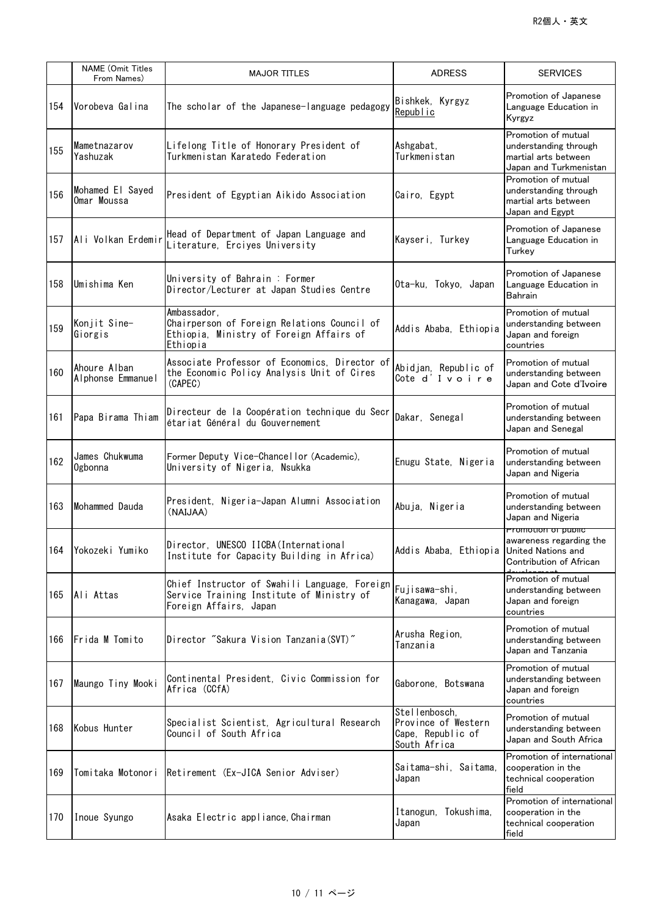|     | <b>NAME (Omit Titles</b><br>From Names) | <b>MAJOR TITLES</b>                                                                                                  | <b>ADRESS</b>                                                             | <b>SERVICES</b>                                                                                |
|-----|-----------------------------------------|----------------------------------------------------------------------------------------------------------------------|---------------------------------------------------------------------------|------------------------------------------------------------------------------------------------|
| 154 | Vorobeva Galina                         | The scholar of the Japanese-language pedagogy                                                                        | Bishkek, Kyrgyz<br>Republic                                               | Promotion of Japanese<br>Language Education in<br>Kyrgyz                                       |
| 155 | Mametnazarov<br>Yashuzak                | Lifelong Title of Honorary President of<br>Turkmenistan Karatedo Federation                                          | Ashgabat,<br>Turkmenistan                                                 | Promotion of mutual<br>understanding through<br>martial arts between<br>Japan and Turkmenistan |
| 156 | Mohamed El Sayed<br>Omar Moussa         | President of Egyptian Aikido Association                                                                             | Cairo, Egypt                                                              | Promotion of mutual<br>understanding through<br>martial arts between<br>Japan and Egypt        |
| 157 | Ali Volkan Erdemir                      | Head of Department of Japan Language and<br>Literature, Erciyes University                                           | Kayseri, Turkey                                                           | Promotion of Japanese<br>Language Education in<br>Turkey                                       |
| 158 | Umishima Ken                            | University of Bahrain : Former<br>Director/Lecturer at Japan Studies Centre                                          | Ota-ku, Tokyo, Japan                                                      | Promotion of Japanese<br>Language Education in<br>Bahrain                                      |
| 159 | Konjit Sine-<br>Giorgis                 | Ambassador.<br>Chairperson of Foreign Relations Council of<br>Ethiopia, Ministry of Foreign Affairs of<br>Ethiopia   | Addis Ababa, Ethiopia                                                     | Promotion of mutual<br>understanding between<br>Japan and foreign<br>countries                 |
| 160 | Ahoure Alban<br>Alphonse Emmanuel       | Associate Professor of Economics, Director of<br>the Economic Policy Analysis Unit of Cires<br>(CAPEC)               | Abidjan, Republic of<br>Cote d'Ivoire                                     | Promotion of mutual<br>understanding between<br>Japan and Cote d'Ivoire                        |
| 161 | Papa Birama Thiam                       | Directeur de la Coopération technique du Secr<br>étariat Général du Gouvernement                                     | Dakar, Senegal                                                            | Promotion of mutual<br>understanding between<br>Japan and Senegal                              |
| 162 | James Chukwuma<br>Ogbonna               | Former Deputy Vice-Chancellor (Academic),<br>University of Nigeria, Nsukka                                           | Enugu State, Nigeria                                                      | Promotion of mutual<br>understanding between<br>Japan and Nigeria                              |
| 163 | Mohammed Dauda                          | President, Nigeria-Japan Alumni Association<br>(NAIJAA)                                                              | Abuja, Nigeria                                                            | Promotion of mutual<br>understanding between<br>Japan and Nigeria                              |
|     | 164 Yokozeki Yumiko                     | Director, UNESCO IICBA (International<br>Institute for Capacity Building in Africa)                                  | Addis Ababa, Ethiopia United Nations and                                  | Promotion or public<br>awareness regarding the<br>Contribution of African                      |
| 165 | Ali Attas                               | Chief Instructor of Swahili Language, Foreign<br>Service Training Institute of Ministry of<br>Foreign Affairs, Japan | Fujisawa-shi,<br>Kanagawa, Japan                                          | Promotion of mutual<br>understanding between<br>Japan and foreign<br>countries                 |
| 166 | Frida M Tomito                          | Director "Sakura Vision Tanzania(SVT)"                                                                               | Arusha Region,<br>Tanzania                                                | Promotion of mutual<br>understanding between<br>Japan and Tanzania                             |
| 167 | Maungo Tiny Mooki                       | Continental President, Civic Commission for<br>Africa (CCfA)                                                         | Gaborone, Botswana                                                        | Promotion of mutual<br>understanding between<br>Japan and foreign<br>countries                 |
| 168 | Kobus Hunter                            | Specialist Scientist, Agricultural Research<br>Council of South Africa                                               | Stellenbosch.<br>Province of Western<br>Cape, Republic of<br>South Africa | Promotion of mutual<br>understanding between<br>Japan and South Africa                         |
| 169 | Tomitaka Motonori                       | Retirement (Ex-JICA Senior Adviser)                                                                                  | Saitama-shi, Saitama,<br>Japan                                            | Promotion of international<br>cooperation in the<br>technical cooperation<br>field             |
| 170 | Inoue Syungo                            | Asaka Electric appliance, Chairman                                                                                   | Itanogun, Tokushima,<br>Japan                                             | Promotion of international<br>cooperation in the<br>technical cooperation<br>field             |